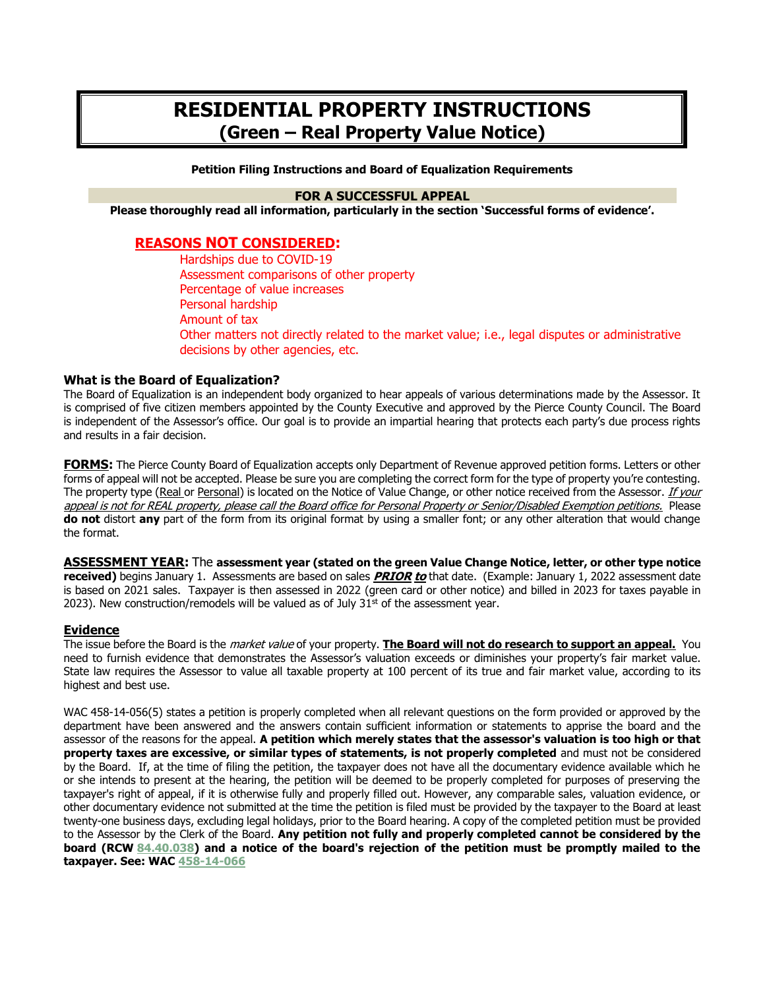# **RESIDENTIAL PROPERTY INSTRUCTIONS (Green – Real Property Value Notice)**

#### **Petition Filing Instructions and Board of Equalization Requirements**

### **FOR A SUCCESSFUL APPEAL**

**Please thoroughly read all information, particularly in the section 'Successful forms of evidence'.**

### **REASONS NOT CONSIDERED:**

Hardships due to COVID-19 Assessment comparisons of other property Percentage of value increases Personal hardship Amount of tax Other matters not directly related to the market value; i.e., legal disputes or administrative decisions by other agencies, etc.

### **What is the Board of Equalization?**

The Board of Equalization is an independent body organized to hear appeals of various determinations made by the Assessor. It is comprised of five citizen members appointed by the County Executive and approved by the Pierce County Council. The Board is independent of the Assessor's office. Our goal is to provide an impartial hearing that protects each party's due process rights and results in a fair decision.

**FORMS:** The Pierce County Board of Equalization accepts only Department of Revenue approved petition forms. Letters or other forms of appeal will not be accepted. Please be sure you are completing the correct form for the type of property you're contesting. The property type (Real or Personal) is located on the Notice of Value Change, or other notice received from the Assessor. If your appeal is not for REAL property, please call the Board office for Personal Property or Senior/Disabled Exemption petitions. Please **do not** distort **any** part of the form from its original format by using a smaller font; or any other alteration that would change the format.

**ASSESSMENT YEAR:** The **assessment year (stated on the green Value Change Notice, letter, or other type notice received)** begins January 1. Assessments are based on sales **PRIOR to** that date. (Example: January 1, 2022 assessment date is based on 2021 sales. Taxpayer is then assessed in 2022 (green card or other notice) and billed in 2023 for taxes payable in 2023). New construction/remodels will be valued as of July  $31<sup>st</sup>$  of the assessment year.

### **Evidence**

The issue before the Board is the market value of your property. **The Board will not do research to support an appeal.** You need to furnish evidence that demonstrates the Assessor's valuation exceeds or diminishes your property's fair market value. State law requires the Assessor to value all taxable property at 100 percent of its true and fair market value, according to its highest and best use.

WAC 458-14-056(5) states a petition is properly completed when all relevant questions on the form provided or approved by the department have been answered and the answers contain sufficient information or statements to apprise the board and the assessor of the reasons for the appeal. **A petition which merely states that the assessor's valuation is too high or that property taxes are excessive, or similar types of statements, is not properly completed** and must not be considered by the Board. If, at the time of filing the petition, the taxpayer does not have all the documentary evidence available which he or she intends to present at the hearing, the petition will be deemed to be properly completed for purposes of preserving the taxpayer's right of appeal, if it is otherwise fully and properly filled out. However, any comparable sales, valuation evidence, or other documentary evidence not submitted at the time the petition is filed must be provided by the taxpayer to the Board at least twenty-one business days, excluding legal holidays, prior to the Board hearing. A copy of the completed petition must be provided to the Assessor by the Clerk of the Board. **Any petition not fully and properly completed cannot be considered by the board (RCW 84.40.[038\) and a n](http://apps.leg.wa.gov/wac/default.aspx?cite=458-14-066)otice of the board's rejection of the petition must be promptly mailed to the taxpayer. See: WAC 458-14-066**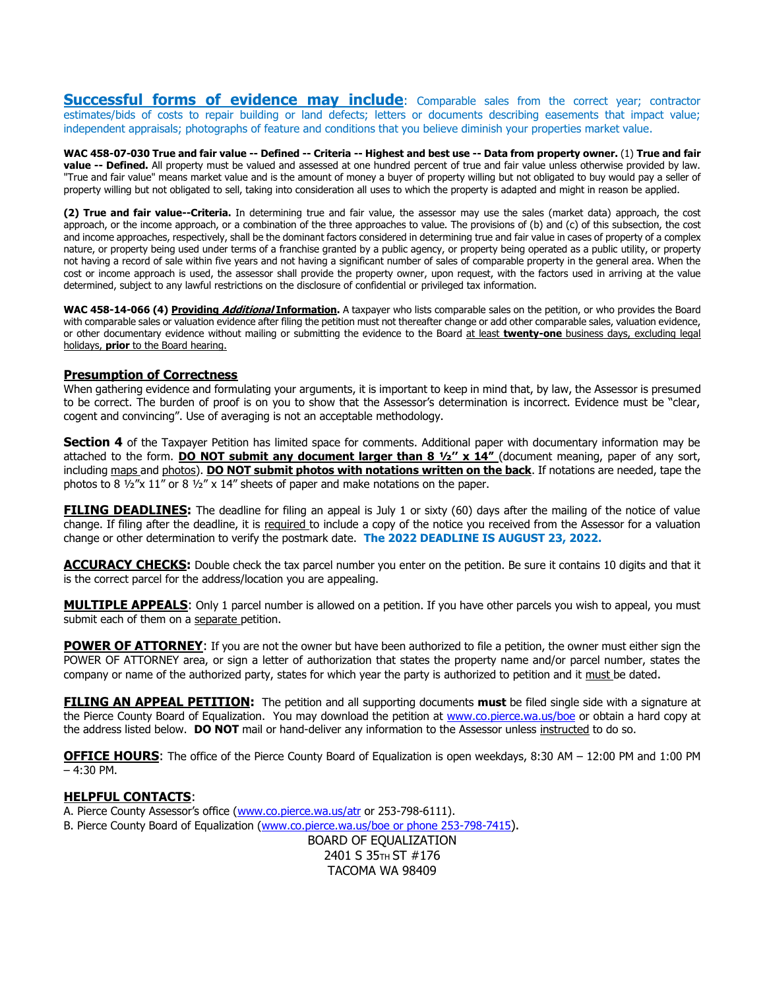**Successful forms of evidence may include**: Comparable sales from the correct year; contractor estimates/bids of costs to repair building or land defects; letters or documents describing easements that impact value; independent appraisals; photographs of feature and conditions that you believe diminish your properties market value.

**WAC 458-07-030 True and fair value -- Defined -- Criteria -- Highest and best use -- Data from property owner.** (1) **True and fair value -- Defined.** All property must be valued and assessed at one hundred percent of true and fair value unless otherwise provided by law. "True and fair value" means market value and is the amount of money a buyer of property willing but not obligated to buy would pay a seller of property willing but not obligated to sell, taking into consideration all uses to which the property is adapted and might in reason be applied.

**(2) True and fair value--Criteria.** In determining true and fair value, the assessor may use the sales (market data) approach, the cost approach, or the income approach, or a combination of the three approaches to value. The provisions of (b) and (c) of this subsection, the cost and income approaches, respectively, shall be the dominant factors considered in determining true and fair value in cases of property of a complex nature, or property being used under terms of a franchise granted by a public agency, or property being operated as a public utility, or property not having a record of sale within five years and not having a significant number of sales of comparable property in the general area. When the cost or income approach is used, the assessor shall provide the property owner, upon request, with the factors used in arriving at the value determined, subject to any lawful restrictions on the disclosure of confidential or privileged tax information.

WAC 458-14-066 (4) Providing *Additional* Information</u>. A taxpayer who lists comparable sales on the petition, or who provides the Board with comparable sales or valuation evidence after filing the petition must not thereafter change or add other comparable sales, valuation evidence, or other documentary evidence without mailing or submitting the evidence to the Board at least **twenty-one** business days, excluding legal holidays, **prior** to the Board hearing.

#### **Presumption of Correctness**

When gathering evidence and formulating your arguments, it is important to keep in mind that, by law, the Assessor is presumed to be correct. The burden of proof is on you to show that the Assessor's determination is incorrect. Evidence must be "clear, cogent and convincing". Use of averaging is not an acceptable methodology.

**Section 4** of the Taxpayer Petition has limited space for comments. Additional paper with documentary information may be attached to the form. **DO NOT submit any document larger than 8 1/2" x 14"** (document meaning, paper of any sort, including maps and photos). **DO NOT submit photos with notations written on the back**. If notations are needed, tape the photos to 8  $\frac{1}{2}$ "x 11" or 8  $\frac{1}{2}$ " x 14" sheets of paper and make notations on the paper.

**FILING DEADLINES:** The deadline for filing an appeal is July 1 or sixty (60) days after the mailing of the notice of value change. If filing after the deadline, it is required to include a copy of the notice you received from the Assessor for a valuation change or other determination to verify the postmark date. **The 2022 DEADLINE IS AUGUST 23, 2022.**

**ACCURACY CHECKS:** Double check the tax parcel number you enter on the petition. Be sure it contains 10 digits and that it is the correct parcel for the address/location you are appealing.

**MULTIPLE APPEALS:** Only 1 parcel number is allowed on a petition. If you have other parcels you wish to appeal, you must submit each of them on a separate petition.

**POWER OF ATTORNEY**: If you are not the owner but have been authorized to file a petition, the owner must either sign the POWER OF ATTORNEY area, or sign a letter of authorization that states the property name and/or parcel number, states the company or name of the authorized party, states for which year the party is authorized to petition and it must be dated.

**FILING AN APPEAL PETITION:** The petition and all supporting documents **must** be filed single side with a signature at the Pierce County Board of Equalization. You may download the petition at www.co.pierce.wa.us/boe or obtain a hard copy at the address listed below. **DO NOT** mail or hand-deliver any information to the Assessor unless instructed to do so.

**OFFICE HOURS**: The office of the Pierce County Board of Equalization is open weekdays, 8:30 AM – 12:00 PM and 1:00 PM – 4:30 PM.

### **HELPFUL CONTACTS**:

A. Pierce County Assessor's office (www.co.pierce.wa.us/atr or 253-798-6111). B. Pierce County Board of Equalization (www.co.pierce.wa.us/boe or phone 253-798-7415). BOARD OF EQUALIZATION

2401 S 35TH ST #176 TACOMA WA 98409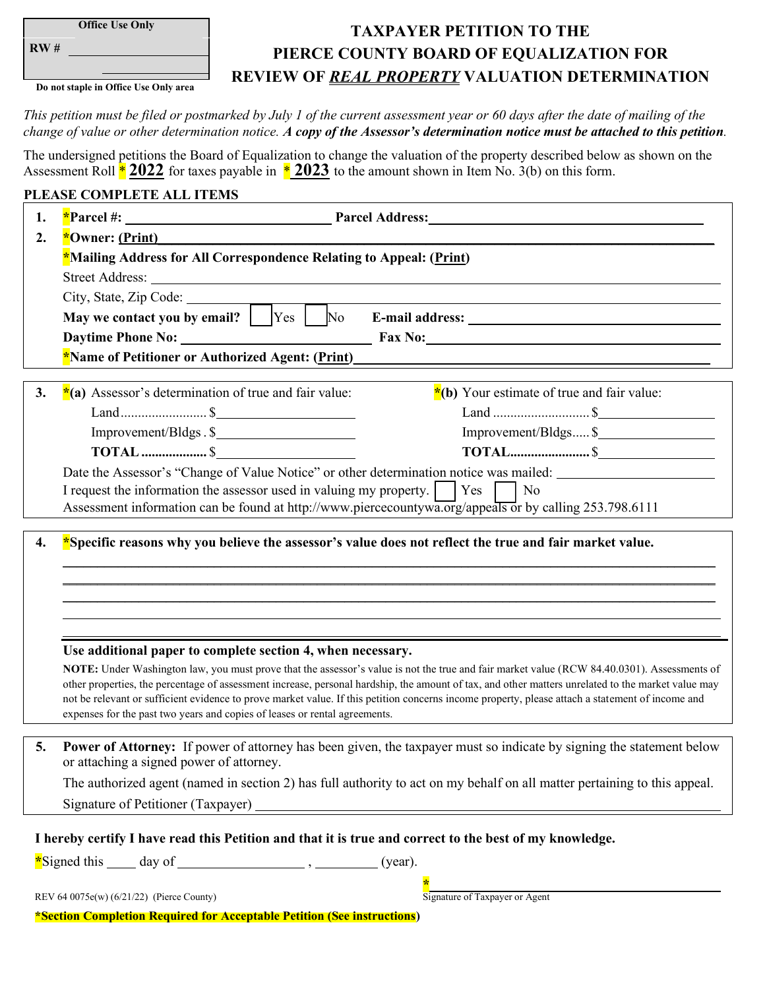| <b>Office Use Onl</b> |  |
|-----------------------|--|
|                       |  |

**RW #** 

**Do not staple in Office Use Only area** 

# **TAXPAYER PETITION TO THE PIERCE COUNTY BOARD OF EQUALIZATION FOR REVIEW OF** *REAL PROPERTY* **VALUATION DETERMINATION**

*This petition must be filed or postmarked by July 1 of the current assessment year or 60 days after the date of mailing of the change of value or other determination notice. A copy of the Assessor's determination notice must be attached to this petition.* 

The undersigned petitions the Board of Equalization to change the valuation of the property described below as shown on the Assessment Roll \* **2022** for taxes payable in \* **2023** to the amount shown in Item No. 3(b) on this form.

### **PLEASE COMPLETE ALL ITEMS**

| 1. |                                                                                                                                                                                                                                                                                                        |  |  |  |  |  |
|----|--------------------------------------------------------------------------------------------------------------------------------------------------------------------------------------------------------------------------------------------------------------------------------------------------------|--|--|--|--|--|
| 2. | *Owner: (Print)                                                                                                                                                                                                                                                                                        |  |  |  |  |  |
|    | *Mailing Address for All Correspondence Relating to Appeal: (Print)                                                                                                                                                                                                                                    |  |  |  |  |  |
|    | Street Address: Lawrence and the street Address and the street Address and the street Address and the street Address and the street Address and the street Address and the street Address and the street Address and the stree                                                                         |  |  |  |  |  |
|    | City, State, Zip Code:                                                                                                                                                                                                                                                                                 |  |  |  |  |  |
|    | May we contact you by email? $\Box$ Yes $\Box$ No                                                                                                                                                                                                                                                      |  |  |  |  |  |
|    | Daytime Phone No: Fax No:                                                                                                                                                                                                                                                                              |  |  |  |  |  |
|    | *Name of Petitioner or Authorized Agent: (Print)                                                                                                                                                                                                                                                       |  |  |  |  |  |
|    |                                                                                                                                                                                                                                                                                                        |  |  |  |  |  |
| 3. | *(a) Assessor's determination of true and fair value:<br>$*(b)$ Your estimate of true and fair value:                                                                                                                                                                                                  |  |  |  |  |  |
|    |                                                                                                                                                                                                                                                                                                        |  |  |  |  |  |
|    | Improvement/Bldgs. \$<br>Improvement/Bldgs \$                                                                                                                                                                                                                                                          |  |  |  |  |  |
|    | <b>TOTAL</b> \$                                                                                                                                                                                                                                                                                        |  |  |  |  |  |
|    | Date the Assessor's "Change of Value Notice" or other determination notice was mailed:                                                                                                                                                                                                                 |  |  |  |  |  |
|    | Yes<br>I request the information the assessor used in valuing my property.<br>  No<br>Assessment information can be found at http://www.piercecountywa.org/appeals or by calling 253.798.6111                                                                                                          |  |  |  |  |  |
|    |                                                                                                                                                                                                                                                                                                        |  |  |  |  |  |
| 4. | *Specific reasons why you believe the assessor's value does not reflect the true and fair market value.                                                                                                                                                                                                |  |  |  |  |  |
|    |                                                                                                                                                                                                                                                                                                        |  |  |  |  |  |
|    |                                                                                                                                                                                                                                                                                                        |  |  |  |  |  |
|    |                                                                                                                                                                                                                                                                                                        |  |  |  |  |  |
|    |                                                                                                                                                                                                                                                                                                        |  |  |  |  |  |
|    | Use additional paper to complete section 4, when necessary.                                                                                                                                                                                                                                            |  |  |  |  |  |
|    | NOTE: Under Washington law, you must prove that the assessor's value is not the true and fair market value (RCW 84.40.0301). Assessments of                                                                                                                                                            |  |  |  |  |  |
|    | other properties, the percentage of assessment increase, personal hardship, the amount of tax, and other matters unrelated to the market value may<br>not be relevant or sufficient evidence to prove market value. If this petition concerns income property, please attach a statement of income and |  |  |  |  |  |
|    | expenses for the past two years and copies of leases or rental agreements.                                                                                                                                                                                                                             |  |  |  |  |  |
|    |                                                                                                                                                                                                                                                                                                        |  |  |  |  |  |
| 5. | <b>Power of Attorney:</b> If power of attorney has been given, the taxpayer must so indicate by signing the statement below<br>or attaching a signed power of attorney.                                                                                                                                |  |  |  |  |  |
|    | The authorized agent (named in section 2) has full authority to act on my behalf on all matter pertaining to this appeal.                                                                                                                                                                              |  |  |  |  |  |
|    |                                                                                                                                                                                                                                                                                                        |  |  |  |  |  |
|    |                                                                                                                                                                                                                                                                                                        |  |  |  |  |  |
|    | I hereby certify I have read this Petition and that it is true and correct to the best of my knowledge.                                                                                                                                                                                                |  |  |  |  |  |
|    |                                                                                                                                                                                                                                                                                                        |  |  |  |  |  |
|    |                                                                                                                                                                                                                                                                                                        |  |  |  |  |  |

| REV 64 0075e(w) $(6/21/22)$ (Pierce County) |  | Signature of Taxpayer or Agent |  |
|---------------------------------------------|--|--------------------------------|--|
|                                             |  |                                |  |

**\*Section Completion Required for Acceptable Petition (See instructions)**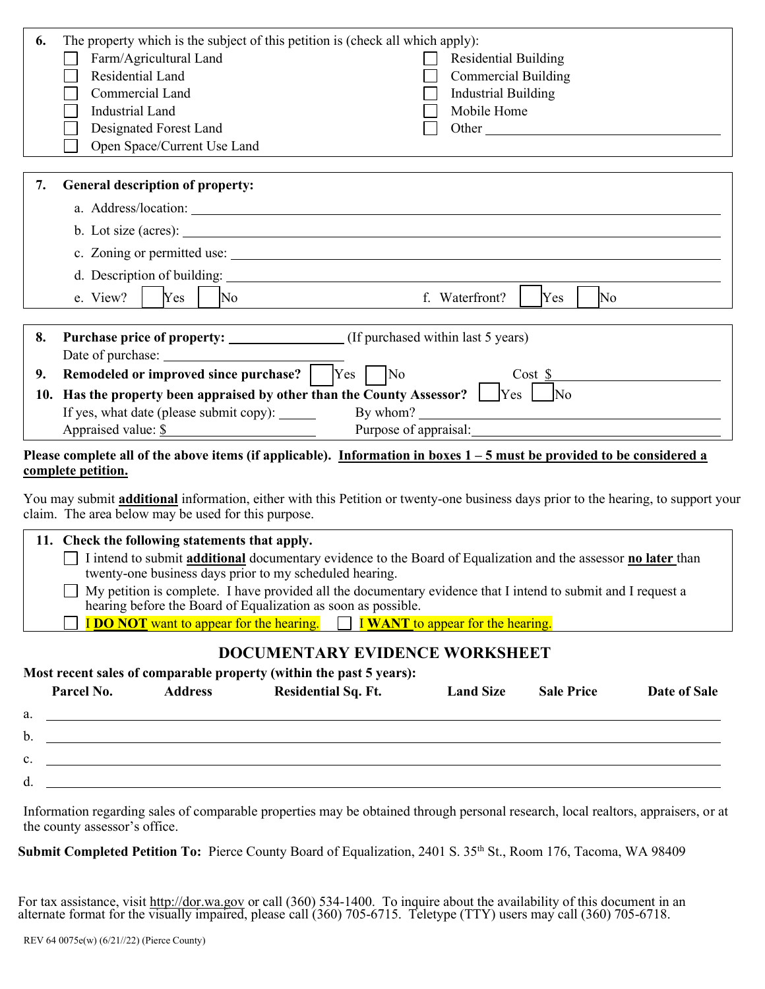| 6.  | The property which is the subject of this petition is (check all which apply):                                                                                                                                                                                                                                                                                                                        |  |  |  |
|-----|-------------------------------------------------------------------------------------------------------------------------------------------------------------------------------------------------------------------------------------------------------------------------------------------------------------------------------------------------------------------------------------------------------|--|--|--|
|     | Farm/Agricultural Land<br><b>Residential Building</b>                                                                                                                                                                                                                                                                                                                                                 |  |  |  |
|     | Residential Land<br><b>Commercial Building</b>                                                                                                                                                                                                                                                                                                                                                        |  |  |  |
|     | Commercial Land<br><b>Industrial Building</b>                                                                                                                                                                                                                                                                                                                                                         |  |  |  |
|     | <b>Industrial Land</b><br>Mobile Home                                                                                                                                                                                                                                                                                                                                                                 |  |  |  |
|     | Designated Forest Land<br>Other and the contract of the contract of the contract of the contract of the contract of the contract of the contract of the contract of the contract of the contract of the contract of the contract of the contract of the                                                                                                                                               |  |  |  |
|     | Open Space/Current Use Land                                                                                                                                                                                                                                                                                                                                                                           |  |  |  |
|     |                                                                                                                                                                                                                                                                                                                                                                                                       |  |  |  |
| 7.  | General description of property:                                                                                                                                                                                                                                                                                                                                                                      |  |  |  |
|     |                                                                                                                                                                                                                                                                                                                                                                                                       |  |  |  |
|     | b. Lot size (acres):                                                                                                                                                                                                                                                                                                                                                                                  |  |  |  |
|     | c. Zoning or permitted use:                                                                                                                                                                                                                                                                                                                                                                           |  |  |  |
|     | d. Description of building:                                                                                                                                                                                                                                                                                                                                                                           |  |  |  |
|     |                                                                                                                                                                                                                                                                                                                                                                                                       |  |  |  |
|     | f. Waterfront?<br>e. View?<br>Yes<br>No<br>Yes<br>No                                                                                                                                                                                                                                                                                                                                                  |  |  |  |
| 8.  | <b>Purchase price of property:</b> (If purchased within last 5 years)                                                                                                                                                                                                                                                                                                                                 |  |  |  |
|     |                                                                                                                                                                                                                                                                                                                                                                                                       |  |  |  |
| 9.  | Remodeled or improved since purchase? Ves No<br>Cost S                                                                                                                                                                                                                                                                                                                                                |  |  |  |
| 10. | Has the property been appraised by other than the County Assessor? $\Box$ Yes $\Box$ No                                                                                                                                                                                                                                                                                                               |  |  |  |
|     | If yes, what date (please submit copy): ______                                                                                                                                                                                                                                                                                                                                                        |  |  |  |
|     |                                                                                                                                                                                                                                                                                                                                                                                                       |  |  |  |
|     |                                                                                                                                                                                                                                                                                                                                                                                                       |  |  |  |
|     | Appraised value: \$<br>Purpose of appraisal: North Contractor Contractor Contractor Contractor Contractor Contractor Contractor Contractor Contractor Contractor Contractor Contractor Contractor Contractor Contractor Contractor Contractor Contrac<br>Please complete all of the above items (if applicable). Information in boxes $1-5$ must be provided to be considered a<br>complete petition. |  |  |  |
|     | You may submit <b>additional</b> information, either with this Petition or twenty-one business days prior to the hearing, to support your<br>claim. The area below may be used for this purpose.                                                                                                                                                                                                      |  |  |  |
|     | 11. Check the following statements that apply.                                                                                                                                                                                                                                                                                                                                                        |  |  |  |
|     | I intend to submit additional documentary evidence to the Board of Equalization and the assessor no later than<br>twenty-one business days prior to my scheduled hearing.                                                                                                                                                                                                                             |  |  |  |

**I DO NOT** want to appear for the hearing. **I WANT** to appear for the hearing.

## **DOCUMENTARY EVIDENCE WORKSHEET**

**Most recent sales of comparable property (within the past 5 years):** 

|    | Parcel No. | <b>Address</b> | <b>Residential Sq. Ft.</b> | <b>Land Size</b> | <b>Sale Price</b> | Date of Sale |
|----|------------|----------------|----------------------------|------------------|-------------------|--------------|
| a. |            |                |                            |                  |                   |              |
| b. |            |                |                            |                  |                   |              |
| c. |            |                |                            |                  |                   |              |
| d. |            |                |                            |                  |                   |              |
|    |            |                |                            |                  |                   |              |

Information regarding sales of comparable properties may be obtained through personal research, local realtors, appraisers, or at the county assessor's office.

**Submit Completed Petition To:** Pierce County Board of Equalization, 2401 S. 35<sup>th</sup> St., Room 176, Tacoma, WA 98409

For tax assistance, visit http://dor.wa.gov or call (360) 534-1400. To inquire about the availability of this document in an alternate format for the visually impaired, please call (360) 705-6715. Teletype (TTY) users may call (360) 705-6718.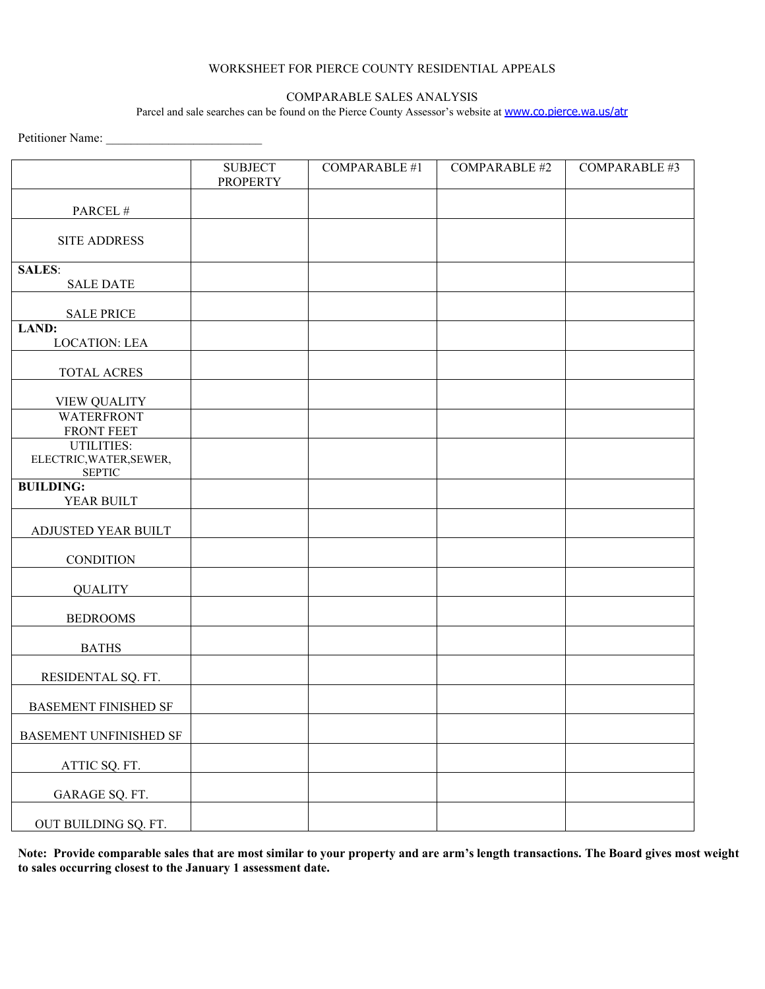### WORKSHEET FOR PIERCE COUNTY RESIDENTIAL APPEALS

### COMPARABLE SALES ANALYSIS

Parcel and sale searches can be found on the Pierce County Assessor's website at **[www.co.pierce.wa.us/atr](http://www.co.pierce.wa.us/atr)** 

Petitioner Name: \_\_\_\_\_\_\_\_\_\_\_\_\_\_\_\_\_\_\_\_\_\_\_\_\_

|                                                               | <b>SUBJECT</b><br><b>PROPERTY</b> | <b>COMPARABLE #1</b> | <b>COMPARABLE #2</b> | COMPARABLE #3 |
|---------------------------------------------------------------|-----------------------------------|----------------------|----------------------|---------------|
| PARCEL #                                                      |                                   |                      |                      |               |
| <b>SITE ADDRESS</b>                                           |                                   |                      |                      |               |
| <b>SALES:</b><br><b>SALE DATE</b>                             |                                   |                      |                      |               |
| <b>SALE PRICE</b>                                             |                                   |                      |                      |               |
| LAND:<br><b>LOCATION: LEA</b>                                 |                                   |                      |                      |               |
| TOTAL ACRES                                                   |                                   |                      |                      |               |
| <b>VIEW QUALITY</b>                                           |                                   |                      |                      |               |
| <b>WATERFRONT</b><br>FRONT FEET                               |                                   |                      |                      |               |
| <b>UTILITIES:</b><br>ELECTRIC, WATER, SEWER,<br><b>SEPTIC</b> |                                   |                      |                      |               |
| <b>BUILDING:</b><br>YEAR BUILT                                |                                   |                      |                      |               |
| ADJUSTED YEAR BUILT                                           |                                   |                      |                      |               |
| <b>CONDITION</b>                                              |                                   |                      |                      |               |
| <b>QUALITY</b>                                                |                                   |                      |                      |               |
| <b>BEDROOMS</b>                                               |                                   |                      |                      |               |
| <b>BATHS</b>                                                  |                                   |                      |                      |               |
| RESIDENTAL SQ. FT.                                            |                                   |                      |                      |               |
| <b>BASEMENT FINISHED SF</b>                                   |                                   |                      |                      |               |
| BASEMENT UNFINISHED SF                                        |                                   |                      |                      |               |
| ATTIC SQ. FT.                                                 |                                   |                      |                      |               |
| GARAGE SQ. FT.                                                |                                   |                      |                      |               |
| OUT BUILDING SQ. FT.                                          |                                   |                      |                      |               |

**Note: Provide comparable sales that are most similar to your property and are arm's length transactions. The Board gives most weight to sales occurring closest to the January 1 assessment date.**